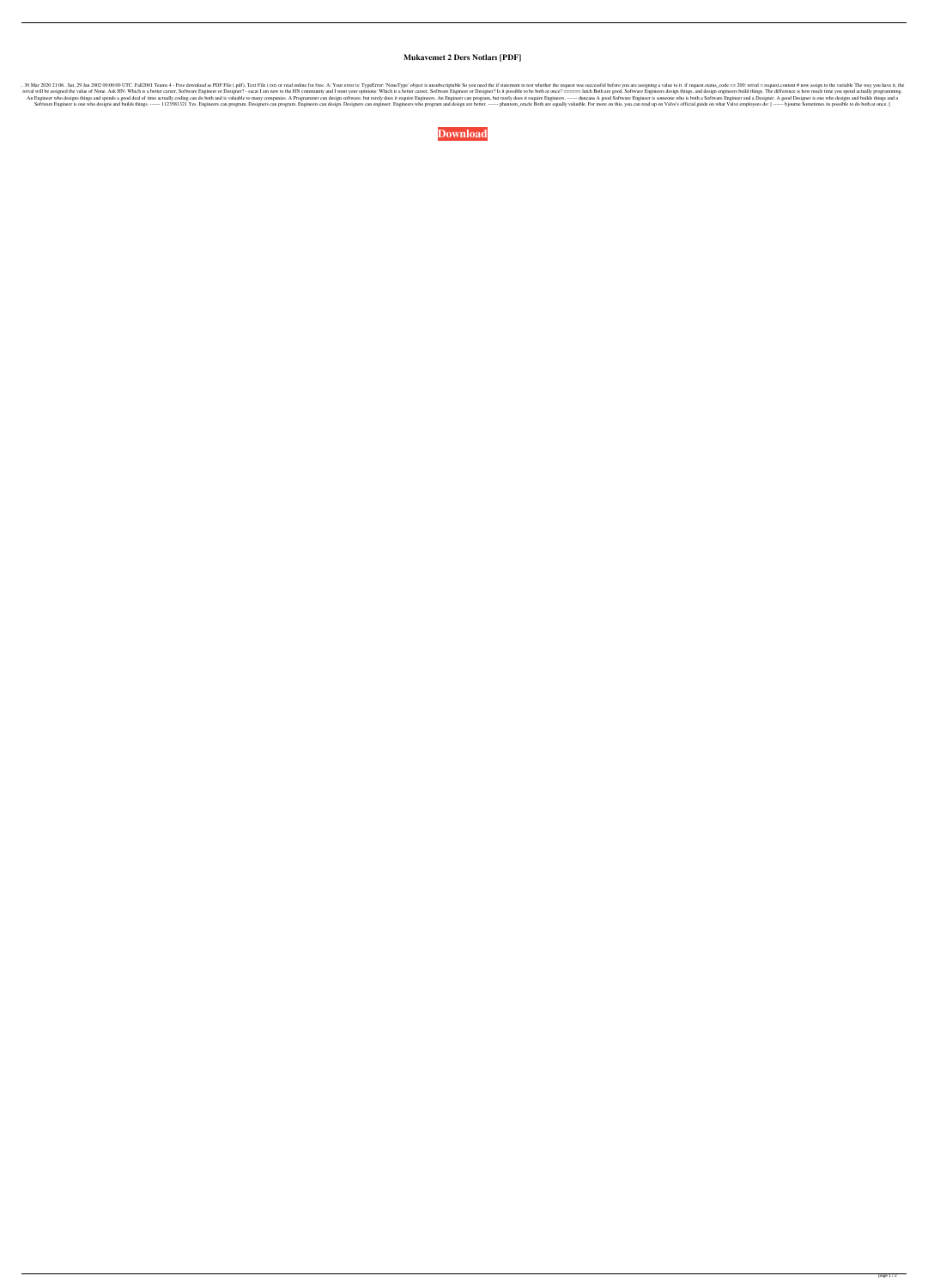## **Mukavemet 2 Ders Notları [PDF]**

..30 Mar 2020 21:06. Sat, 29 Jan 2002 00:00:00 UTC. Fall2001 Teams 4 - Free download as PDF File (.pdf), Text File (.txt) or read online for free. A: Your error is: TypeError: 'NoneType' object is unsubscriptable So you ar retval will be assigned the value of None. Ask HN: Which is a better career, Software Engineer or Designer? - sacat I am new to the HN community and I want your opinions: Which is a better career, Software Engineer or Desi An Engineer who designs things and spends a good deal of time actually coding can do both and is valuable to many companies. A Programmer can design software, but rarely does it require Engineers. ----- duncans A good Soft Software Engineer is one who designs and builds things. ------ 1123581321 Yes. Engineers can program. Designers can program. Engineers can design. Designers can engineer. Engineers who program and design are better. ------

**[Download](https://urluss.com/2ky77r)**